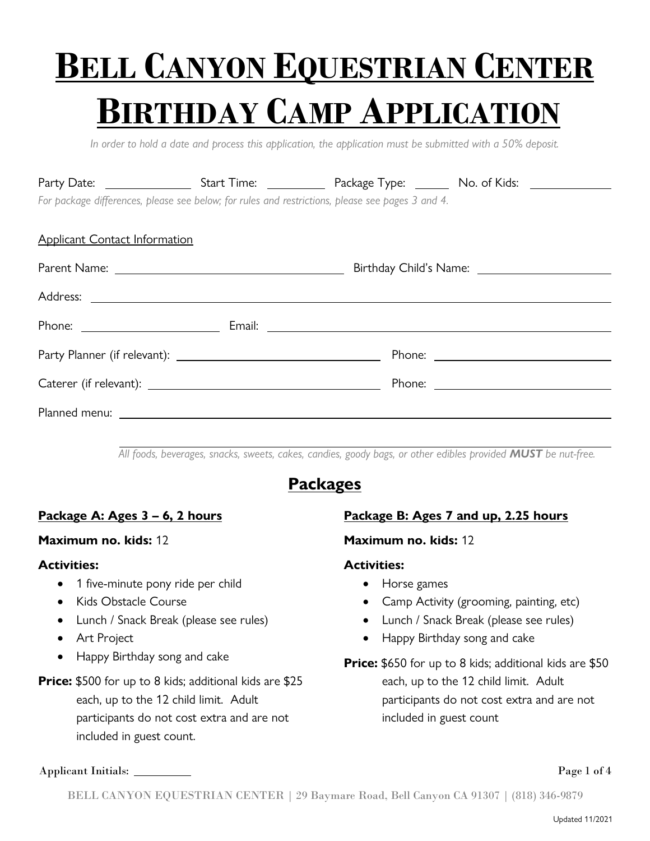# **BELL CANYON EQUESTRIAN CENTER BIRTHDAY CAMP APPLICATION**

*In order to hold a date and process this application, the application must be submitted with a 50% deposit.*

| For package differences, please see below; for rules and restrictions, please see pages 3 and 4. |  |  |  |
|--------------------------------------------------------------------------------------------------|--|--|--|
| <b>Applicant Contact Information</b>                                                             |  |  |  |
|                                                                                                  |  |  |  |
|                                                                                                  |  |  |  |
|                                                                                                  |  |  |  |
|                                                                                                  |  |  |  |
|                                                                                                  |  |  |  |
|                                                                                                  |  |  |  |
|                                                                                                  |  |  |  |

*All foods, beverages, snacks, sweets, cakes, candies, goody bags, or other edibles provided MUST be nut-free.*

# **Packages**

# **Package A: Ages 3 – 6, 2 hours**

#### **Maximum no. kids:** 12

#### **Activities:**

- 1 five-minute pony ride per child
- Kids Obstacle Course
- Lunch / Snack Break (please see rules)
- Art Project
- Happy Birthday song and cake

**Price:** \$500 for up to 8 kids; additional kids are \$25

each, up to the 12 child limit. Adult participants do not cost extra and are not included in guest count.

# **Package B: Ages 7 and up, 2.25 hours**

#### **Maximum no. kids:** 12

#### **Activities:**

- Horse games
- Camp Activity (grooming, painting, etc)
- Lunch / Snack Break (please see rules)
- Happy Birthday song and cake

**Price:** \$650 for up to 8 kids; additional kids are \$50 each, up to the 12 child limit. Adult participants do not cost extra and are not included in guest count

#### Applicant Initials: Page 1 of 4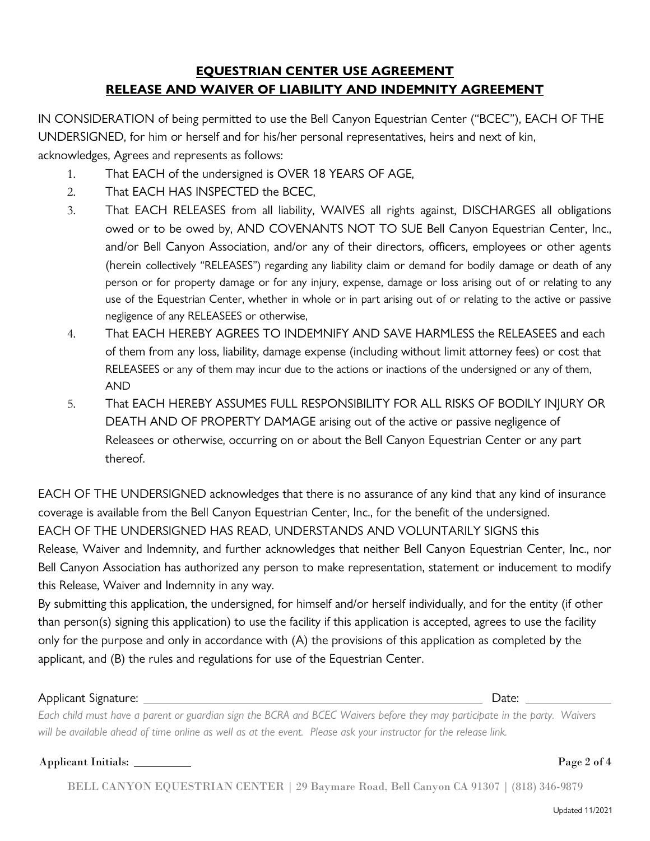# **EQUESTRIAN CENTER USE AGREEMENT RELEASE AND WAIVER OF LIABILITY AND INDEMNITY AGREEMENT**

IN CONSIDERATION of being permitted to use the Bell Canyon Equestrian Center ("BCEC"), EACH OF THE UNDERSIGNED, for him or herself and for his/her personal representatives, heirs and next of kin, acknowledges, Agrees and represents as follows:

- 1. That EACH of the undersigned is OVER 18 YEARS OF AGE,
- 2. That EACH HAS INSPECTED the BCEC,
- 3. That EACH RELEASES from all liability, WAIVES all rights against, DISCHARGES all obligations owed or to be owed by, AND COVENANTS NOT TO SUE Bell Canyon Equestrian Center, Inc., and/or Bell Canyon Association, and/or any of their directors, officers, employees or other agents (herein collectively "RELEASES") regarding any liability claim or demand for bodily damage or death of any person or for property damage or for any injury, expense, damage or loss arising out of or relating to any use of the Equestrian Center, whether in whole or in part arising out of or relating to the active or passive negligence of any RELEASEES or otherwise,
- 4. That EACH HEREBY AGREES TO INDEMNIFY AND SAVE HARMLESS the RELEASEES and each of them from any loss, liability, damage expense (including without limit attorney fees) or cost that RELEASEES or any of them may incur due to the actions or inactions of the undersigned or any of them, AND
- 5. That EACH HEREBY ASSUMES FULL RESPONSIBILITY FOR ALL RISKS OF BODILY INJURY OR DEATH AND OF PROPERTY DAMAGE arising out of the active or passive negligence of Releasees or otherwise, occurring on or about the Bell Canyon Equestrian Center or any part thereof.

EACH OF THE UNDERSIGNED acknowledges that there is no assurance of any kind that any kind of insurance coverage is available from the Bell Canyon Equestrian Center, Inc., for the benefit of the undersigned. EACH OF THE UNDERSIGNED HAS READ, UNDERSTANDS AND VOLUNTARILY SIGNS this Release, Waiver and Indemnity, and further acknowledges that neither Bell Canyon Equestrian Center, Inc., nor Bell Canyon Association has authorized any person to make representation, statement or inducement to modify this Release, Waiver and Indemnity in any way.

By submitting this application, the undersigned, for himself and/or herself individually, and for the entity (if other than person(s) signing this application) to use the facility if this application is accepted, agrees to use the facility only for the purpose and only in accordance with (A) the provisions of this application as completed by the applicant, and (B) the rules and regulations for use of the Equestrian Center.

#### Applicant Signature: Date:

*Each child must have a parent or guardian sign the BCRA and BCEC Waivers before they may participate in the party. Waivers will be available ahead of time online as well as at the event. Please ask your instructor for the release link.*

#### Applicant Initials: Page 2 of 4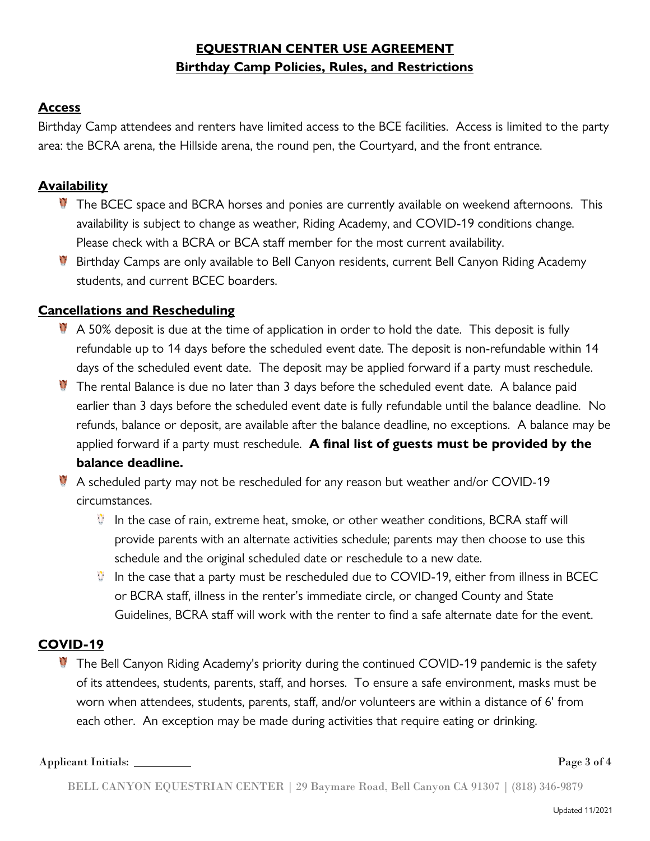# **EQUESTRIAN CENTER USE AGREEMENT Birthday Camp Policies, Rules, and Restrictions**

# **Access**

Birthday Camp attendees and renters have limited access to the BCE facilities. Access is limited to the party area: the BCRA arena, the Hillside arena, the round pen, the Courtyard, and the front entrance.

# **Availability**

- The BCEC space and BCRA horses and ponies are currently available on weekend afternoons. This availability is subject to change as weather, Riding Academy, and COVID-19 conditions change. Please check with a BCRA or BCA staff member for the most current availability.
- **W** Birthday Camps are only available to Bell Canyon residents, current Bell Canyon Riding Academy students, and current BCEC boarders.

# **Cancellations and Rescheduling**

- $\blacksquare$  A 50% deposit is due at the time of application in order to hold the date. This deposit is fully refundable up to 14 days before the scheduled event date. The deposit is non-refundable within 14 days of the scheduled event date. The deposit may be applied forward if a party must reschedule.
- $\blacksquare$  The rental Balance is due no later than 3 days before the scheduled event date. A balance paid earlier than 3 days before the scheduled event date is fully refundable until the balance deadline. No refunds, balance or deposit, are available after the balance deadline, no exceptions. A balance may be applied forward if a party must reschedule. **A final list of guests must be provided by the balance deadline.**

A scheduled party may not be rescheduled for any reason but weather and/or COVID-19 circumstances.

- $V$  In the case of rain, extreme heat, smoke, or other weather conditions, BCRA staff will provide parents with an alternate activities schedule; parents may then choose to use this schedule and the original scheduled date or reschedule to a new date.
- $\mathbb {V}$  In the case that a party must be rescheduled due to COVID-19, either from illness in BCEC or BCRA staff, illness in the renter's immediate circle, or changed County and State Guidelines, BCRA staff will work with the renter to find a safe alternate date for the event.

# **COVID-19**

 $\blacksquare$  The Bell Canyon Riding Academy's priority during the continued COVID-19 pandemic is the safety of its attendees, students, parents, staff, and horses. To ensure a safe environment, masks must be worn when attendees, students, parents, staff, and/or volunteers are within a distance of 6' from each other. An exception may be made during activities that require eating or drinking.

Applicant Initials: Page 3 of 4